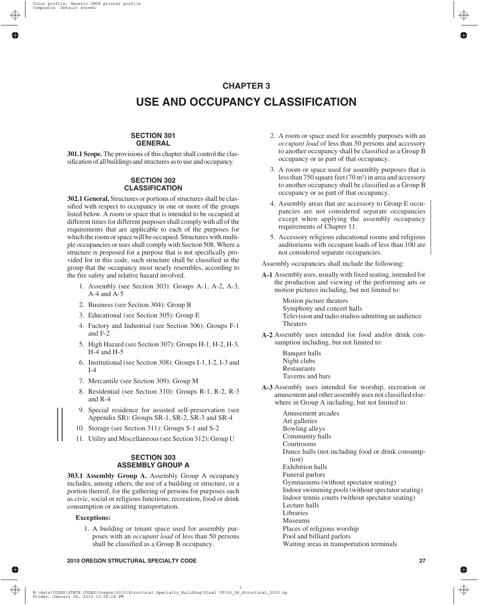# **CHAPTER 3 USE AND OCCUPANCY CLASSIFICATION**

## **SECTION 301 GENERAL**

**301.1 Scope.** The provisions of this chapter shall control the classification of all buildings and structures as to use and occupancy.

## **SECTION 302 CLASSIFICATION**

**302.1 General.** Structures or portions of structures shall be classified with respect to occupancy in one or more of the groups listed below. A room or space that is intended to be occupied at different times for different purposes shall comply with all of the requirements that are applicable to each of the purposes for which the room or space will be occupied. Structures with multiple occupancies or uses shall comply with Section 508. Where a structure is proposed for a purpose that is not specifically provided for in this code, such structure shall be classified in the group that the occupancy most nearly resembles, according to the fire safety and relative hazard involved.

- 1. Assembly (see Section 303): Groups A-1, A-2, A-3, A-4 and A-5
- 2. Business (see Section 304): Group B
- 3. Educational (see Section 305): Group E
- 4. Factory and Industrial (see Section 306): Groups F-1 and F-2
- 5. High Hazard (see Section 307): Groups H-1, H-2, H-3, H-4 and H-5
- 6. Institutional (see Section 308): Groups I-1, I-2, I-3 and  $I-4$
- 7. Mercantile (see Section 309): Group M
- 8. Residential (see Section 310): Groups R-1, R-2, R-3 and R-4
- 9. Special residence for assisted self-preservation (see Appendix SR): Groups SR-1, SR-2, SR-3 and SR-4
- 10. Storage (see Section 311): Groups S-1 and S-2
- 11. Utility and Miscellaneous (see Section 312): Group U

## **SECTION 303 ASSEMBLY GROUP A**

**303.1 Assembly Group A.** Assembly Group A occupancy includes, among others, the use of a building or structure, or a portion thereof, for the gathering of persons for purposes such as civic, social or religious functions; recreation, food or drink consumption or awaiting transportation.

## **Exceptions:**

1. A building or tenant space used for assembly purposes with an *occupant load* of less than 50 persons shall be classified as a Group B occupancy.

- 2. A room or space used for assembly purposes with an *occupant load* of less than 50 persons and accessory to another occupancy shall be classified as a Group B occupancy or as part of that occupancy.
- 3. A room or space used for assembly purposes that is less than 750 square feet  $(70 \text{ m}^2)$  in area and accessory to another occupancy shall be classified as a Group B occupancy or as part of that occupancy.
- 4. Assembly areas that are accessory to Group E occupancies are not considered separate occupancies except when applying the assembly occupancy requirements of Chapter 11.
- 5. Accessory religious educational rooms and religious auditoriums with occupant loads of less than 100 are not considered separate occupancies.

Assembly occupancies shall include the following:

**A-1** Assembly uses, usually with fixed seating, intended for the production and viewing of the performing arts or motion pictures including, but not limited to:

> Motion picture theaters Symphony and concert halls Television and radio studios admitting an audience Theaters

- **A-2** Assembly uses intended for food and/or drink consumption including, but not limited to:
	- Banquet halls Night clubs Restaurants Taverns and bars
- **A-3** Assembly uses intended for worship, recreation or amusement and other assembly uses not classified elsewhere in Group A including, but not limited to:

Amusement arcades Art galleries Bowling alleys Community halls Courtrooms Dance halls (not including food or drink consumption) Exhibition halls Funeral parlors Gymnasiums (without spectator seating) Indoor swimming pools (without spectator seating) Indoor tennis courts (without spectator seating) Lecture halls Libraries Museums Places of religious worship Pool and billiard parlors Waiting areas in transportation terminals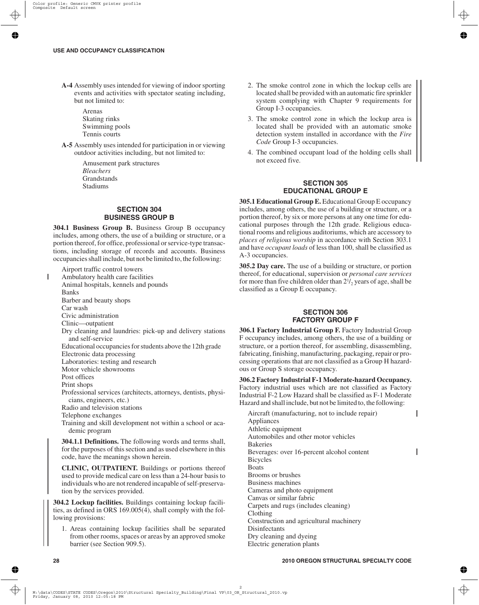- **A-4** Assembly uses intended for viewing of indoor sporting events and activities with spectator seating including, but not limited to:
	- Arenas Skating rinks Swimming pools Tennis courts
- **A-5** Assembly uses intended for participation in or viewing outdoor activities including, but not limited to:

Amusement park structures *Bleachers* **Grandstands** Stadiums

## **SECTION 304 BUSINESS GROUP B**

**304.1 Business Group B.** Business Group B occupancy includes, among others, the use of a building or structure, or a portion thereof, for office, professional or service-type transactions, including storage of records and accounts. Business occupancies shall include, but not be limited to, the following:

Airport traffic control towers

- Ambulatory health care facilities
- Animal hospitals, kennels and pounds

Banks

Barber and beauty shops Car wash

Civic administration

Clinic—outpatient

- Dry cleaning and laundries: pick-up and delivery stations and self-service
- Educational occupancies for students above the 12th grade

Electronic data processing

Laboratories: testing and research

Motor vehicle showrooms

Post offices

Print shops

Professional services (architects, attorneys, dentists, physicians, engineers, etc.)

Radio and television stations

Telephone exchanges

Training and skill development not within a school or academic program

**304.1.1 Definitions.** The following words and terms shall, for the purposes of this section and as used elsewhere in this code, have the meanings shown herein.

**CLINIC, OUTPATIENT.** Buildings or portions thereof used to provide medical care on less than a 24-hour basis to individuals who are not rendered incapable of self-preservation by the services provided.

**304.2 Lockup facilities.** Buildings containing lockup facilities, as defined in ORS 169.005(4), shall comply with the following provisions:

1. Areas containing lockup facilities shall be separated from other rooms, spaces or areas by an approved smoke barrier (see Section 909.5).

- 2. The smoke control zone in which the lockup cells are located shall be provided with an automatic fire sprinkler system complying with Chapter 9 requirements for Group I-3 occupancies.
- 3. The smoke control zone in which the lockup area is located shall be provided with an automatic smoke detection system installed in accordance with the *Fire Code* Group I-3 occupancies.
- 4. The combined occupant load of the holding cells shall not exceed five.

## **SECTION 305 EDUCATIONAL GROUP E**

**305.1 Educational Group E.** Educational Group E occupancy includes, among others, the use of a building or structure, or a portion thereof, by six or more persons at any one time for educational purposes through the 12th grade. Religious educational rooms and religious auditoriums, which are accessory to *places of religious worship* in accordance with Section 303.1 and have *occupant loads* of less than 100, shall be classified as A-3 occupancies.

**305.2 Day care.** The use of a building or structure, or portion thereof, for educational, supervision or *personal care services* for more than five children older than  $2^{1/2}$  years of age, shall be classified as a Group E occupancy.

## **SECTION 306 FACTORY GROUP F**

**306.1 Factory Industrial Group F.** Factory Industrial Group F occupancy includes, among others, the use of a building or structure, or a portion thereof, for assembling, disassembling, fabricating, finishing, manufacturing, packaging, repair or processing operations that are not classified as a Group H hazardous or Group S storage occupancy.

**306.2 Factory Industrial F-1 Moderate-hazard Occupancy.** Factory industrial uses which are not classified as Factory Industrial F-2 Low Hazard shall be classified as F-1 Moderate Hazard and shall include, but not be limited to, the following:

Aircraft (manufacturing, not to include repair) Appliances Athletic equipment Automobiles and other motor vehicles Bakeries Beverages: over 16-percent alcohol content Bicycles **Boats** Brooms or brushes Business machines Cameras and photo equipment Canvas or similar fabric Carpets and rugs (includes cleaning) Clothing Construction and agricultural machinery Disinfectants Dry cleaning and dyeing Electric generation plants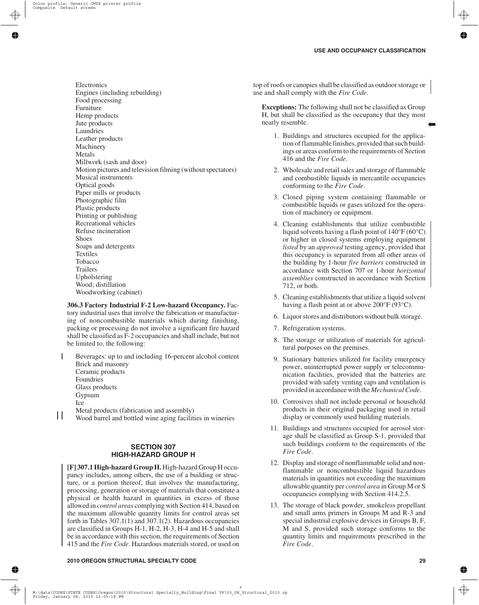➡

Electronics Engines (including rebuilding) Food processing Furniture Hemp products Jute products Laundries Leather products Machinery Metals Millwork (sash and door) Motion pictures and television filming (without spectators) Musical instruments Optical goods Paper mills or products Photographic film Plastic products Printing or publishing Recreational vehicles Refuse incineration Shoes Soaps and detergents Textiles Tobacco Trailers Upholstering Wood; distillation Woodworking (cabinet)

**306.3 Factory Industrial F-2 Low-hazard Occupancy.** Factory industrial uses that involve the fabrication or manufacturing of noncombustible materials which during finishing, packing or processing do not involve a significant fire hazard shall be classified as F-2 occupancies and shall include, but not be limited to, the following:

Beverages: up to and including 16-percent alcohol content Brick and masonry Ceramic products Foundries Glass products Gypsum Ice Metal products (fabrication and assembly)

 $\mathbf{I}$ Wood barrel and bottled wine aging facilities in wineries

# **SECTION 307 HIGH-HAZARD GROUP H**

**[F] 307.1 High-hazard Group H.** High-hazard Group H occupancy includes, among others, the use of a building or structure, or a portion thereof, that involves the manufacturing, processing, generation or storage of materials that constitute a physical or health hazard in quantities in excess of those allowed in *control areas* complying with Section 414, based on the maximum allowable quantity limits for control areas set forth in Tables 307.1(1) and 307.1(2). Hazardous occupancies are classified in Groups H-1, H-2, H-3, H-4 and H-5 and shall be in accordance with this section, the requirements of Section 415 and the *Fire Code*. Hazardous materials stored, or used on

top of roofs or canopies shall be classified as outdoor storage or use and shall comply with the *Fire Code*.

**Exceptions:** The following shall not be classified as Group H, but shall be classified as the occupancy that they most nearly resemble.

- 1. Buildings and structures occupied for the application of flammable finishes, provided that such buildings or areas conform to the requirements of Section 416 and the *Fire Code*.
- 2. Wholesale and retail sales and storage of flammable and combustible liquids in mercantile occupancies conforming to the *Fire Code*.
- 3. Closed piping system containing flammable or combustible liquids or gases utilized for the operation of machinery or equipment.
- 4. Cleaning establishments that utilize combustible liquid solvents having a flash point of 140°F (60°C) or higher in closed systems employing equipment *listed* by an *approved* testing agency, provided that this occupancy is separated from all other areas of the building by 1-hour *fire barriers* constructed in accordance with Section 707 or 1-hour *horizontal assemblies* constructed in accordance with Section 712, or both.
- 5. Cleaning establishments that utilize a liquid solvent having a flash point at or above 200°F (93°C).
- 6. Liquor stores and distributors without bulk storage.
- 7. Refrigeration systems.
- 8. The storage or utilization of materials for agricultural purposes on the premises.
- 9. Stationary batteries utilized for facility emergency power, uninterrupted power supply or telecommunication facilities, provided that the batteries are provided with safety venting caps and ventilation is provided in accordance with the *Mechanical Code*.
- 10. Corrosives shall not include personal or household products in their original packaging used in retail display or commonly used building materials.
- 11. Buildings and structures occupied for aerosol storage shall be classified as Group S-1, provided that such buildings conform to the requirements of the *Fire Code*.
- 12. Display and storage of nonflammable solid and nonflammable or noncombustible liquid hazardous materials in quantities not exceeding the maximum allowable quantity per *control area* in Group M or S occupancies complying with Section 414.2.5.
- 13. The storage of black powder, smokeless propellant and small arms primers in Groups M and R-3 and special industrial explosive devices in Groups B, F, M and S, provided such storage conforms to the quantity limits and requirements prescribed in the *Fire Code*.

#### **2010 OREGON STRUCTURAL SPECIALTY CODE 29**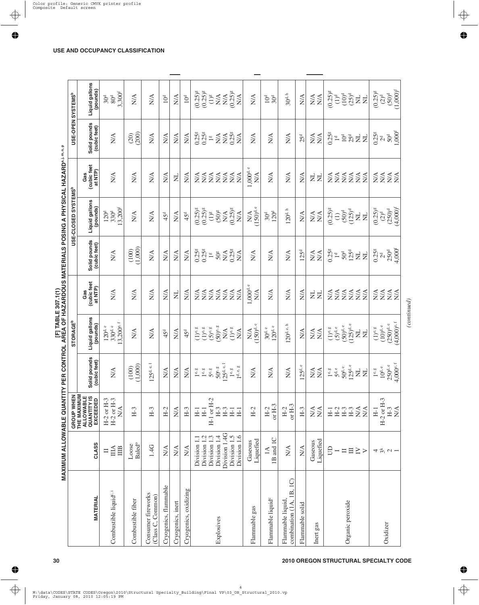|                                                             | MAXIMUM ALLOWABLE QUANTITY PER CONTROL AREA OF HAZARDOUS MATERIALS POSING A PHYSICAL HAZARD®I™® |                                                               |                                          |                                                         | [F] TABLE 307.1(1)                                        |                                         |                                                                  |                                                          |                                              |                                                            |
|-------------------------------------------------------------|-------------------------------------------------------------------------------------------------|---------------------------------------------------------------|------------------------------------------|---------------------------------------------------------|-----------------------------------------------------------|-----------------------------------------|------------------------------------------------------------------|----------------------------------------------------------|----------------------------------------------|------------------------------------------------------------|
|                                                             |                                                                                                 | GROUP WHEN                                                    |                                          | <b>STORAGE<sup>b</sup></b>                              |                                                           |                                         | USE-CLOSED SYSTEMS <sup>b</sup>                                  |                                                          | USE-OPEN SYSTEMS <sup>b</sup>                |                                                            |
| <b>MATERIAL</b>                                             | CLASS                                                                                           | THE MAXIMUM<br>ALLOWABLE<br>QUANTITY IS<br>EXCEEDED           | Solid pounds<br>(cubic feet)             | Liquid gallons<br>(pounds)                              | (cubic feet<br>at NTP)<br>Gas                             | Solid pounds<br>(cubic feet)            | Liquid gallons<br>(pounds)                                       | (cubic feet<br>at NTP)<br>Gas                            | Solid pounds<br>(cubic feet)                 | Liquid gallons<br>(pounds)                                 |
| Combustible liquid <sup>e, i</sup>                          | ША<br>IIIB<br>$\Box$                                                                            | $H-2$ or $H-3$<br>$H-2$ or $H-3$<br>$\stackrel{\triangle}{N}$ | $\sum_{i=1}^{n}$                         | $3,200^{\text{e,f}}$<br>$120d$ e<br>$330^{\rm d. \, e}$ | $\sum_{i=1}^{n}$                                          | $\sum_{i=1}^{n}$                        | $13,200^{f}$<br>330 <sup>d</sup><br>120 <sup>d</sup>             | $\sum_{i=1}^{n}$                                         | $\sum_{i=1}^{n}$                             | 3,300 <sup>f</sup><br>$80d$<br>30 <sup>d</sup>             |
| Combustible fiber                                           | <b>Baled</b> <sup>o</sup><br>Loose                                                              | $H-3$                                                         | (1,000)<br>(100)                         | $\sum_{i=1}^{n}$                                        | $N\!A$                                                    | (1,000)<br>(100)                        | $N\!A$                                                           | $N\!A$                                                   | (200)<br>(20)                                | $\sum_{i=1}^{n}$                                           |
| Consumer fireworks<br>(Class C, Common)                     | 1.4G                                                                                            | $H-3$                                                         | $125^{d,e,1}$                            | $N\!A$                                                  | $\sum_{i=1}^{n}$                                          | $\sum_{i=1}^{n}$                        | $\mathop{\rm NA}\nolimits$                                       | $\sum_{i=1}^{n}$                                         | N/A                                          | $\sum_{i=1}^{n}$                                           |
| Cryogenics, flammable                                       | N/A                                                                                             | $H-2$                                                         | <b>N/A</b>                               | 45 <sup>d</sup>                                         | $\sum_{i=1}^{n}$                                          | $\frac{\triangleleft}{\triangle}$       | 45 <sup>d</sup>                                                  | $\sum_{i=1}^{n}$                                         | $\frac{\triangleleft}{N}$                    | 10 <sup>d</sup>                                            |
| Cryogenics, inert                                           | $\stackrel{\triangle}{\approx}$                                                                 | $\sum_{i=1}^{n}$                                              | <b>N/A</b>                               | N/A                                                     | $\Xi$                                                     | $\frac{\triangleleft}{\triangle}$       | N/A                                                              | $\Xi$                                                    | N/A                                          | $\sum_{i=1}^{n}$                                           |
| Cryogenics, oxidizing                                       | $\mathop{\rm NA}\limits^\Delta$                                                                 | $H-3$                                                         | $\sum_{i=1}^{n}$                         | 45 <sup>d</sup>                                         | $\sum_{i=1}^{n}$                                          | <b>N/A</b>                              | 45 <sup>d</sup>                                                  | N/A                                                      | <b>N/A</b>                                   | 10 <sup>d</sup>                                            |
|                                                             | Division 1.2<br>Division 1.1                                                                    | $H-1$<br>$H-1$                                                | 1e, g<br>1e, g                           | $(1)^e$ , $g$<br>$(1)^e$ , $g$                          | N/A<br>N/A                                                | 0.25 <sup>g</sup><br>0.25 <sup>g</sup>  | $(0.25)$ <sup>g</sup><br>$(0.25)$ <sup>g</sup>                   | $\sum_{i=1}^{n}$<br>N/A                                  | 0.25 <sup>g</sup><br>$0.25$ <sup>g</sup>     | $(0.25)$ <sup>g</sup><br>$(0.25)$ <sup>g</sup>             |
|                                                             | Division 1.3                                                                                    | $H-1$ or $H-2$<br>$H-3$                                       | $50^\circ$ $\mathrm{s}$<br>$5^{\rm e}$ s | $(50)$ e, g<br>$(5)$ e, g                               | N/A<br>N/A                                                | $50g$<br>$\frac{60}{2}$                 | $(50)$ <sup>g</sup><br>$(1)^g$                                   | N/A<br>N/A                                               | $\mathop{\rm NA}\nolimits$<br>$\frac{80}{2}$ | $(1)^g$<br>$\mathop{\rm N}\nolimits\!\!\!\!\!\!/\Lambda$   |
| Explosives                                                  | Division 1.4G<br>Division 1.4                                                                   | $H-3$                                                         | $125^{d.e.1}$                            | $\mathop{\mathsf{N}\mathsf{A}}$                         | N/A                                                       | $\sum_{i=1}^{n}$                        | $N/A$<br>(0.25) <sup>g</sup>                                     | N/A                                                      | $\mathop{\rm NA}\nolimits$                   | $\stackrel{\triangle}{\approx}$                            |
|                                                             | Division 1.5<br>Division 1.6                                                                    | H <sub>1</sub><br>$H_{1}$                                     | 1d, e, g<br>$1^e.$                       | $(1)^e$ , $g$<br>$\sum_{i=1}^{n}$                       | N/A<br>N/A                                                | $0.25$ <sup>g</sup><br>$\sum_{i=1}^{n}$ | $\sum_{i=1}^{n}$                                                 | $N\!A$<br>N/A                                            | $0.25$ <sup>g</sup><br>$\sum_{i=1}^{n}$      | $(0.25)$ <sup>g</sup><br>$\frac{\triangleleft}{\triangle}$ |
| Flammable gas                                               | Liquefied<br>Gaseous                                                                            | $H-2$                                                         | $\sum_{i=1}^{n}$                         | $(150)$ d.e<br>N/A                                      | 1,000 <sup>d, e</sup><br>$\sum_{i=1}^{n}$                 | N/A                                     | (150) <sup>d,e</sup><br>$\stackrel{\triangle}{\scriptstyle\sim}$ | 1,000 <sup>d, e</sup><br>$\stackrel{\triangle}{\approx}$ | N/A                                          | $\sum_{i=1}^{n}$                                           |
| Flammable liquid <sup>c</sup>                               | 1B and 1C<br>$\preceq$                                                                          | or $H-3$<br>$H-2$                                             | N/A                                      | $120^{\rm d}$ e<br>$30^{\rm d.\,e}$                     | N/A                                                       | N/A                                     | 120 <sup>d</sup><br>30 <sup>d</sup>                              | $\sum_{i=1}^{n}$                                         | $\sum_{i=1}^{n}$                             | 10 <sup>d</sup><br>30 <sup>d</sup>                         |
| $\overline{Q}$<br>combination (1A, 1B,<br>Flammable liquid, | $\sum_{i=1}^{n}$                                                                                | or $H-3$<br>$H-2$                                             | $\sum_{i=1}^{n}$                         | $120^{\rm d. \, e. \, h}$                               | $\sum_{i=1}^{n}$                                          | $\sum_{i=1}^{n}$                        | $120^{\rm d. \, h}$                                              | $\sum_{i=1}^{n}$                                         | $\sum_{i=1}^{n}$                             | $30^{\rm d. \, h}$                                         |
| Flammable solid                                             | $\mathop{\rm N}\nolimits\!mathop{\rm A}\nolimits$                                               | $H-3$                                                         | 125 <sup>d.e</sup>                       | $\sum_{i=1}^{n}$                                        | $\sum_{i=1}^{n}$                                          | 125 <sup>d</sup>                        | N/A                                                              | $\sum_{i=1}^{n}$                                         | 25 <sup>d</sup>                              | $\sum_{i=1}^{n}$                                           |
| Inert gas                                                   | Liquefied<br>Gaseous                                                                            | $N\!A$<br>N/A                                                 | $\frac{\triangleleft}{N}$<br>N/A         | $\stackrel{\triangle}{\geq}$<br>$N\!/\!A$               | $\Xi$<br>$\Xi$                                            | $\frac{\triangleleft}{N}$<br>N/A        | $\stackrel{\triangle}{\geq}$<br>N/A                              | $\overline{\mathsf{z}}$<br>$\overline{z}$                | <b>N/A</b><br><b>N/A</b>                     | $\frac{\triangleleft}{\triangle}$<br>N/A                   |
|                                                             | $\Xi$                                                                                           | $H-2$<br>H <sub>1</sub>                                       | 1e, g<br>$\mathsf{S}^\mathsf{d,e}$       | $(1)^e$ , $e$<br>$(5)^d$ , $e$                          | N/A<br>$\sum_{i=1}^{n}$                                   | 0.25 <sup>g</sup><br>$\mathbb{I}^d$     | $(0.25)$ <sup>g</sup><br>$\bigoplus$                             | N/A<br>$\sum_{i=1}^{n}$                                  | 0.25 <sup>g</sup><br>$\mathbb{I}^d$          | $(0.25)$ <sup>g</sup><br>$(1)^d$                           |
| Organic peroxide                                            | $\Box$                                                                                          | $H-3$<br>$H-3$                                                | $125^{\rm d}$ e<br>$50^{\rm d. \, e}$    | $(125)$ <sup>d, e</sup><br>$(50)^{\rm d.\,e}$           | $N\triangle$<br>$\sum_{i=1}^{n}$                          | 125 <sup>d</sup><br>50 <sup>d</sup>     | $(50)^d$                                                         | $N\triangle$                                             | 10 <sup>d</sup>                              |                                                            |
|                                                             | $\equiv$<br>$\geq$ $>$                                                                          | $\mathop{\rm NA}\nolimits$<br>N/A                             | $\overline{z}$<br>$\Xi$                  | $\overline{\mathsf{z}}$<br>$\overline{z}$               | $\stackrel{\scriptstyle \Delta}{\phantom{}_{\bf NN}}$ N/A | Ę<br>$\mathsf{E}$                       | $(125)^d$<br>$\overline{z}$                                      | $\stackrel{\sf A}{\geq}$ NA<br>$\sum_{i=1}^{n}$          | 25 <sup>d</sup><br>$\Xi$<br>E                | $\frac{1}{2} \frac{1}{2}$<br>$\Xi$                         |
|                                                             |                                                                                                 | $H-1$                                                         | $1^{\rm e. g}$                           | $(1)^e$ <sup>e</sup>                                    | $\mathop{\rm NA}_{\rm NA}$                                | 0.25 <sup>g</sup>                       | $(0.25)$ <sup>g</sup>                                            | $\mathop{\rm NA}_{\rm NA}$                               | 0.25 <sup>g</sup>                            | $(0.25)$ <sup>g</sup>                                      |
| Oxidizer                                                    | $\rightarrow \frac{1}{2} \times \frac{1}{2} \times \frac{1}{2}$                                 | $H-2$ or $H-3$<br>$H-3$                                       | $250^{\rm d.}$ e<br>$10^{\rm d. \, e}$   | $(250)^{\rm d.\,e}$<br>$(10)^{\rm d,\,e}$               |                                                           | 250 <sup>d</sup><br>$\mathbb{S}^d$      | $(250)^{\rm d}$<br>$(2)^d$                                       |                                                          | 50 <sup>d</sup><br>2 <sup>d</sup>            | $(50)^d$<br>$(2)^d$                                        |
|                                                             |                                                                                                 | $\mathop{\rm NA}\limits^\Delta$                               | 4,000e.f                                 | $(4,000)$ e. f                                          | $\stackrel{\sf A}{\scriptstyle\times}$ NA                 | $4,000$ <sup>f</sup>                    | $(4,000)^f$                                                      | $\stackrel{\sf A}{\scriptstyle\times}$ NA                | 1.000 <sup>f</sup>                           | $(1,000)^t$                                                |

*(continued)*

 $\label{eq:constrained} (continued)$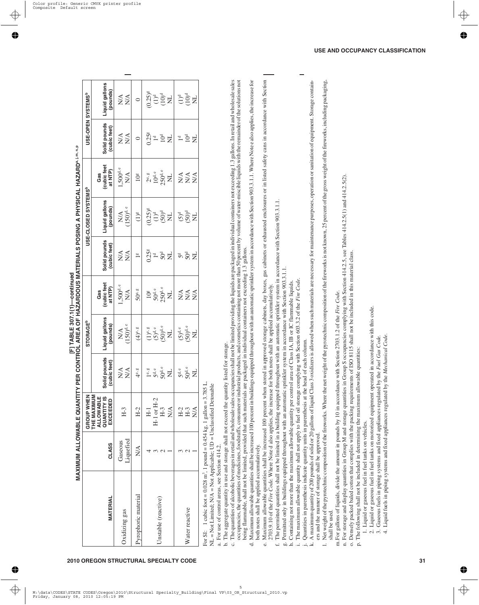|                                                                                                                                                                                                                                                                                                                                                                                                                                                                                                                                                                                                                                                                                                                                                                                                                                                                                                                                                                                                                                                                                                                                                                                                                                                                                                                                                                                                                                                                                                                                                                                                                                                                                                                                                                                                                                                                                                                                                                                                                                                                                                                                                                                                                                                                                                                                                                                                                                                                                                                                                                                                                                                                                                                                                                                                                                                                                                                                                                                                                                                                                                                                                                                                                                                                                                                                                                                                                                                                                              |                      | MAXIMUM ALLOWABLE QUANTIT                                                             |                                                         | Y PER CONTROL AREA OF HAZARDOUS MATERIALS POSING A PHYSICAL HAZARD⊕m.n.p<br>Y PER CONTROL AREA OF HAZARDOUS MATERIALS POSING A PHYSICAL HAZARD⊕m.n.p |                                                                            |                                                                                   |                                                                  |                                                                |                                                                       |                                          |
|----------------------------------------------------------------------------------------------------------------------------------------------------------------------------------------------------------------------------------------------------------------------------------------------------------------------------------------------------------------------------------------------------------------------------------------------------------------------------------------------------------------------------------------------------------------------------------------------------------------------------------------------------------------------------------------------------------------------------------------------------------------------------------------------------------------------------------------------------------------------------------------------------------------------------------------------------------------------------------------------------------------------------------------------------------------------------------------------------------------------------------------------------------------------------------------------------------------------------------------------------------------------------------------------------------------------------------------------------------------------------------------------------------------------------------------------------------------------------------------------------------------------------------------------------------------------------------------------------------------------------------------------------------------------------------------------------------------------------------------------------------------------------------------------------------------------------------------------------------------------------------------------------------------------------------------------------------------------------------------------------------------------------------------------------------------------------------------------------------------------------------------------------------------------------------------------------------------------------------------------------------------------------------------------------------------------------------------------------------------------------------------------------------------------------------------------------------------------------------------------------------------------------------------------------------------------------------------------------------------------------------------------------------------------------------------------------------------------------------------------------------------------------------------------------------------------------------------------------------------------------------------------------------------------------------------------------------------------------------------------------------------------------------------------------------------------------------------------------------------------------------------------------------------------------------------------------------------------------------------------------------------------------------------------------------------------------------------------------------------------------------------------------------------------------------------------------------------------------------------------|----------------------|---------------------------------------------------------------------------------------|---------------------------------------------------------|------------------------------------------------------------------------------------------------------------------------------------------------------|----------------------------------------------------------------------------|-----------------------------------------------------------------------------------|------------------------------------------------------------------|----------------------------------------------------------------|-----------------------------------------------------------------------|------------------------------------------|
|                                                                                                                                                                                                                                                                                                                                                                                                                                                                                                                                                                                                                                                                                                                                                                                                                                                                                                                                                                                                                                                                                                                                                                                                                                                                                                                                                                                                                                                                                                                                                                                                                                                                                                                                                                                                                                                                                                                                                                                                                                                                                                                                                                                                                                                                                                                                                                                                                                                                                                                                                                                                                                                                                                                                                                                                                                                                                                                                                                                                                                                                                                                                                                                                                                                                                                                                                                                                                                                                                              |                      | GROUP WHEN                                                                            |                                                         | <b>STORAGE<sup>b</sup></b>                                                                                                                           |                                                                            |                                                                                   | USE-CLOSED SYSTEMS <sup>b</sup>                                  |                                                                |                                                                       | USE-OPEN SYSTEMS <sup>b</sup>            |
| MATERIAL                                                                                                                                                                                                                                                                                                                                                                                                                                                                                                                                                                                                                                                                                                                                                                                                                                                                                                                                                                                                                                                                                                                                                                                                                                                                                                                                                                                                                                                                                                                                                                                                                                                                                                                                                                                                                                                                                                                                                                                                                                                                                                                                                                                                                                                                                                                                                                                                                                                                                                                                                                                                                                                                                                                                                                                                                                                                                                                                                                                                                                                                                                                                                                                                                                                                                                                                                                                                                                                                                     | <b>CLASS</b>         | THE MAXIMUM<br><b>ALLOWABLE</b><br><b>QUANTITY IS</b><br>EXCEEDED                     | Solid pounds<br>(cubic feet)                            | Liquid gallons<br>(pounds)                                                                                                                           | (cubic feet<br>at NTP)<br>Gas                                              | Solid pounds<br>(cubic feet)                                                      | Liquid gallons<br>(pounds)                                       | (cubic feet<br>at NTP)<br>Gas                                  | Solid pounds<br>(cubic feet)                                          | Liquid gallons<br>(pounds)               |
| Oxidizing gas                                                                                                                                                                                                                                                                                                                                                                                                                                                                                                                                                                                                                                                                                                                                                                                                                                                                                                                                                                                                                                                                                                                                                                                                                                                                                                                                                                                                                                                                                                                                                                                                                                                                                                                                                                                                                                                                                                                                                                                                                                                                                                                                                                                                                                                                                                                                                                                                                                                                                                                                                                                                                                                                                                                                                                                                                                                                                                                                                                                                                                                                                                                                                                                                                                                                                                                                                                                                                                                                                | Liquefied<br>Gaseous | $H-3$                                                                                 | $\sum_{i=1}^{n}$<br>N/A                                 | $(150)^{\rm d.\,e}$<br>$\mathop{\rm NA}\nolimits$                                                                                                    | $1,500^{\rm d.}$ e<br>$\mathop{\rm NA}\limits^\Delta$                      | $\stackrel{\triangle}{\geq}$<br>N/A                                               | (150) <sup>d,e</sup><br>$\mathop{\rm NA}\limits$                 | $1,\!500^{\rm d}$ e<br>$\mathop{\rm NA}\limits^\Delta$         | $\mathbb{N}\mathbb{A}$<br>$\stackrel{\triangle}{\geq}$                | $\mathop{\rm NA}\nolimits$<br><b>N/A</b> |
| Pyrophoric material                                                                                                                                                                                                                                                                                                                                                                                                                                                                                                                                                                                                                                                                                                                                                                                                                                                                                                                                                                                                                                                                                                                                                                                                                                                                                                                                                                                                                                                                                                                                                                                                                                                                                                                                                                                                                                                                                                                                                                                                                                                                                                                                                                                                                                                                                                                                                                                                                                                                                                                                                                                                                                                                                                                                                                                                                                                                                                                                                                                                                                                                                                                                                                                                                                                                                                                                                                                                                                                                          | N/A                  | $H-2$                                                                                 | $4^e$ , $8$                                             | $(4)$ e, g                                                                                                                                           | 50° s                                                                      | $\frac{80}{2}$                                                                    | $(1)$ <sup>g</sup>                                               | 10 <sup>g</sup>                                                | $\circ$                                                               | $\circ$                                  |
| Unstable (reactive)                                                                                                                                                                                                                                                                                                                                                                                                                                                                                                                                                                                                                                                                                                                                                                                                                                                                                                                                                                                                                                                                                                                                                                                                                                                                                                                                                                                                                                                                                                                                                                                                                                                                                                                                                                                                                                                                                                                                                                                                                                                                                                                                                                                                                                                                                                                                                                                                                                                                                                                                                                                                                                                                                                                                                                                                                                                                                                                                                                                                                                                                                                                                                                                                                                                                                                                                                                                                                                                                          | 4 w<br>$\sim$        | $H-1$ or $H-2$<br>$H-3$<br>$\mathop{\rm N}\nolimits\!mathop{\rm A}\nolimits$<br>$H-1$ | $50^{\rm d. \, e}$<br>$5d$ .<br>1e, g<br>$\overline{z}$ | $(50)^{\rm d.\,e}$<br>$\begin{array}{c} (1)^{\mathbf{e},\,\mathbf{g}}\\ (5)^{\mathbf{d},\,\mathbf{e}} \end{array}$<br>Ę                              | $250^{\rm d}$ e<br>$50^{\rm d. \, e}$<br>$\overline{z}$<br>10 <sup>g</sup> | 0.25 <sup>g</sup><br>50 <sup>d</sup><br>$\mathbb{I}^d$<br>$\overline{\mathsf{z}}$ | $(0.25)$ <sup>g</sup><br>$(50)^d$<br>$(1)^d$<br>$\overline{\Xi}$ | 250d.e<br>$10^{\rm d. \, e}$<br>$2^e$ , $\frac{8}{2}$<br>$\Xi$ | 0.25 <sup>g</sup><br>$10^{\rm d}$<br>$\mathbb{I}^d$<br>$\overline{z}$ | $(0.25)^8$<br>$(10)^4$<br>$(10)^4$       |
| Water reactive                                                                                                                                                                                                                                                                                                                                                                                                                                                                                                                                                                                                                                                                                                                                                                                                                                                                                                                                                                                                                                                                                                                                                                                                                                                                                                                                                                                                                                                                                                                                                                                                                                                                                                                                                                                                                                                                                                                                                                                                                                                                                                                                                                                                                                                                                                                                                                                                                                                                                                                                                                                                                                                                                                                                                                                                                                                                                                                                                                                                                                                                                                                                                                                                                                                                                                                                                                                                                                                                               | $\omega$ $\omega$    | $H-2$<br>$H-3$<br>$\sum_{i=1}^{n}$                                                    | $50^{\rm d. \, e}$<br>$\mathsf{S}^\mathsf{d.e}$<br>Ę    | $(50)^{\rm d.\,e}$<br>$(5)^{\rm d.\,e}$<br>$\Xi$                                                                                                     | N/A<br>$N\!A$<br>$N\mathcal{A}$                                            | $50^{\rm d}$<br>$\overline{z}$<br>5d                                              | $50^{\circ}$<br>$50^{\circ}$                                     | N/A<br>$N\mathcal{A}$<br>$N\mathcal{A}$                        | 10 <sup>d</sup><br>$\Xi$<br>$\mathbb{1}^d$                            | <b>POD</b>                               |
| The quantities of alcoholic beverages in retail and wholesale sales occupancies shall not be limited providing the liquids are packaged in individual containers not exceeding 1.3 gallons. In retail and wholesale sales<br>occu<br>Maximum allowable quantities shall be increased 100 percent in buildings equipped throughout with an automatic sprinkler system in accordance with Section 903.3.1.1. Where Note e also applies, the increase for<br>Maximum allowable quantities shall be increased 100 percent when stored in approved storage cabinets, day boxes, gas cabinets or exhausted enclosures or in listed safety cans in accordance with Section<br>A maximum quantity of 200 pounds of solid or 20 gallons of liquid Class 3 oxidizers is allowed when such materials are necessary for maintenance purposes, operation or sanitation of equipment. Storage contain-<br>Net weight of the pyrotechnic composition of the fireworks. Where the net weight of the pyrotechnic composition of the fireworks is not known, 25 percent of the gross weight of the fireworks, including packaging,<br>n. For storage and display quantities in Group M and storage quantities in Group S occupancies complying with Section 414.2.5, see Tables 414.2.5(1) and 414.2.5(2).<br>The permitted quantities shall not be limited in a building equipped throughout with an automatic sprinkler system in accordance with Section 903.3.1.1<br>being flammable, shall not be limited, provided that such materials are packaged in individual containers not exceeding 1.3 gallons.<br>o. Densely packed baled cotton that complies with the packing requirements of ISO 8115 shall not be included in this material class.<br>Permitted only in buildings equipped throughout with an automatic sprinkler system in accordance with Section 903.3.1.1.<br>The maximum allowable quantity shall not apply to fuel oil storage complying with Section 603.3.2 of the Fire Code.<br>Containing not more than the maximum allowable quantity per control area of Class IA, IB or IC flammable liquids.<br>2703.9.10 of the Fire Code. Where Note d also applies, the increase for both notes shall be applied accumulatively.<br>m. For gallons of liquids, divide the amount in pounds by 10 in accordance with Section 2703.1.2 of the Fire Code.<br>2. Liquid or gaseous fuel in fuel tanks on motorized equipment operated in accordance with this code.<br>4. Liquid fuels in piping systems and fixed appliances regulated by the Mechanical Code<br>Gaseous fuels in piping systems and fixed appliances regulated by the Fuel Gas Code.<br>Quantities in parenthesis indicate quantity units in parenthesis at the head of each column.<br>The aggregate quantity in use and storage shall not exceed the quantity listed for storage.<br>For SI: 1 cubic foot = 0.028 m <sup>3</sup> , 1 pound = 0.454 kg, 1 gallon = 3.785 L.<br>NL = Not Limited; N/A = Not Applicable; UD = Unclassified Detonable<br>The following shall not be included in determining the maximum all<br>1. Liquid or gaseous fuel in fuel tanks on vehicles.<br>ers and the manner of storage shall be approved<br>both notes shall be applied accumulatively.<br>a. For use of control areas, see Section 414.2.<br>shall be used.<br>$\ddot{\mathcal{L}}$<br>.<br>ف<br>c,<br>$\dot{\rm d} \dot{\rm o}$<br>p.<br>$\mathbf{H}$<br>$\therefore$ $\cong$<br>$\overline{a}$<br>ಕ<br>نه<br>ť,<br>$\ddot{=}$ |                      |                                                                                       | lowable quantities:                                     |                                                                                                                                                      |                                                                            |                                                                                   |                                                                  |                                                                |                                                                       |                                          |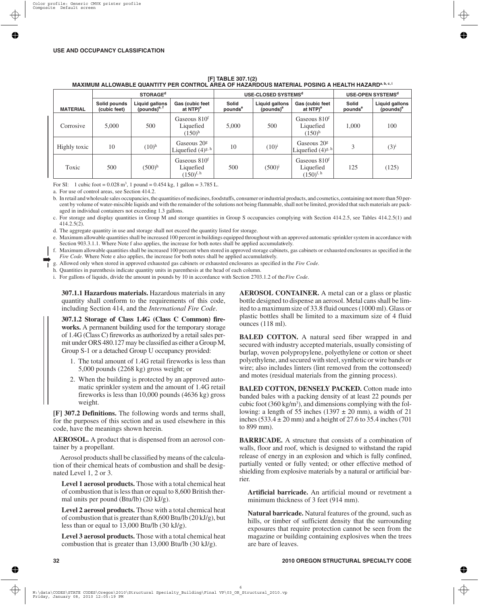| [F] TABLE 307.1(2)                                                                                             |  |
|----------------------------------------------------------------------------------------------------------------|--|
| MAXIMUM ALLOWABLE QUANTITY PER CONTROL AREA OF HAZARDOUS MATERIAL POSING A HEALTH HAZARD <sup>a, b, c, i</sup> |  |

|                 |                              | <b>STORAGE<sup>d</sup></b>                 |                                                                |                              | USE-CLOSED SYSTEMS <sup>d</sup>         |                                                         |                              | USE-OPEN SYSTEMS <sup>d</sup>           |
|-----------------|------------------------------|--------------------------------------------|----------------------------------------------------------------|------------------------------|-----------------------------------------|---------------------------------------------------------|------------------------------|-----------------------------------------|
| <b>MATERIAL</b> | Solid pounds<br>(cubic feet) | Liquid gallons<br>(pounds) <sup>e, f</sup> | Gas (cubic feet<br>at NTP) <sup>e</sup>                        | Solid<br>pounds <sup>e</sup> | Liquid gallons<br>(pounds) <sup>e</sup> | Gas (cubic feet<br>at NTP) <sup>e</sup>                 | Solid<br>pounds <sup>e</sup> | Liquid gallons<br>(pounds) <sup>e</sup> |
| Corrosive       | 5,000                        | 500                                        | Gaseous 810 <sup>f</sup><br>Liquefied<br>$(150)^{h}$           | 5,000                        | 500                                     | Gaseous 810 <sup>f</sup><br>Liquefied<br>$(150)^{h}$    | 1,000                        | 100                                     |
| Highly toxic    | 10                           | $(10)^{h}$                                 | Gaseous 20 <sup>g</sup><br>Liquefied $(4)^{g, h}$              | 10                           | $(10)^{i}$                              | Gaseous $20g$<br>Liquefied $(4)$ <sup>g, h</sup>        |                              | $(3)^{i}$                               |
| Toxic           | 500                          | $(500)$ <sup>h</sup>                       | Gaseous 810 <sup>f</sup><br>Liquefied<br>$(150)^{\text{f, h}}$ | 500                          | $(500)^{i}$                             | Gaseous 810 <sup>f</sup><br>Liquefied<br>$(150)^{f, h}$ | 125                          | (125)                                   |

For SI: 1 cubic foot =  $0.028$  m<sup>3</sup>, 1 pound =  $0.454$  kg, 1 gallon =  $3.785$  L.

a. For use of control areas, see Section 414.2.

b. In retail and wholesale sales occupancies, the quantities of medicines, foodstuffs, consumer or industrial products, and cosmetics, containing not more than 50 percent by volume of water-miscible liquids and with the remainder of the solutions not being flammable, shall not be limited, provided that such materials are packaged in individual containers not exceeding 1.3 gallons.

c. For storage and display quantities in Group M and storage quantities in Group S occupancies complying with Section 414.2.5, see Tables 414.2.5(1) and 414.2.5(2).

d. The aggregate quantity in use and storage shall not exceed the quantity listed for storage.

e. Maximum allowable quantities shall be increased 100 percent in buildings equipped throughout with an approved automatic sprinkler system in accordance with Section 903.3.1.1. Where Note f also applies, the increase for both notes shall be applied accumulatively.

f. Maximum allowable quantities shall be increased 100 percent when stored in approved storage cabinets, gas cabinets or exhausted enclosures as specified in the *Fire Code*. Where Note e also applies, the increase for both notes shall be applied accumulatively.

g. Allowed only when stored in approved exhausted gas cabinets or exhausted enclosures as specified in the *Fire Code*.

h. Quantities in parenthesis indicate quantity units in parenthesis at the head of each column.

i. For gallons of liquids, divide the amount in pounds by 10 in accordance with Section 2703.1.2 of the*Fire Code*.

**307.1.1 Hazardous materials.** Hazardous materials in any quantity shall conform to the requirements of this code, including Section 414, and the *International Fire Code*.

**307.1.2 Storage of Class 1.4G (Class C Common) fireworks.** A permanent building used for the temporary storage of 1.4G (Class C) fireworks as authorized by a retail sales permit under ORS 480.127 may be classified as either a Group M, Group S-1 or a detached Group U occupancy provided:

- 1. The total amount of 1.4G retail fireworks is less than 5,000 pounds (2268 kg) gross weight; or
- 2. When the building is protected by an approved automatic sprinkler system and the amount of 1.4G retail fireworks is less than 10,000 pounds (4636 kg) gross weight.

**[F] 307.2 Definitions.** The following words and terms shall, for the purposes of this section and as used elsewhere in this code, have the meanings shown herein.

**AEROSOL.** A product that is dispensed from an aerosol container by a propellant.

Aerosol products shall be classified by means of the calculation of their chemical heats of combustion and shall be designated Level 1, 2 or 3.

**Level 1 aerosol products.** Those with a total chemical heat of combustion that is less than or equal to 8,600 British thermal units per pound (Btu/lb) (20 kJ/g).

**Level 2 aerosol products.** Those with a total chemical heat of combustion that is greater than 8,600 Btu/lb (20 kJ/g), but less than or equal to 13,000 Btu/lb (30 kJ/g).

**Level 3 aerosol products.** Those with a total chemical heat combustion that is greater than 13,000 Btu/lb (30 kJ/g).

**AEROSOL CONTAINER.** A metal can or a glass or plastic bottle designed to dispense an aerosol. Metal cans shall be limited to a maximum size of 33.8 fluid ounces (1000 ml). Glass or plastic bottles shall be limited to a maximum size of 4 fluid ounces (118 ml).

**BALED COTTON.** A natural seed fiber wrapped in and secured with industry accepted materials, usually consisting of burlap, woven polypropylene, polyethylene or cotton or sheet polyethylene, and secured with steel, synthetic or wire bands or wire; also includes linters (lint removed from the cottonseed) and motes (residual materials from the ginning process).

**BALED COTTON, DENSELY PACKED.** Cotton made into banded bales with a packing density of at least 22 pounds per cubic foot  $(360 \text{ kg/m}^3)$ , and dimensions complying with the following: a length of 55 inches (1397  $\pm$  20 mm), a width of 21 inches (533.4  $\pm$  20 mm) and a height of 27.6 to 35.4 inches (701) to 899 mm).

**BARRICADE.** A structure that consists of a combination of walls, floor and roof, which is designed to withstand the rapid release of energy in an explosion and which is fully confined, partially vented or fully vented; or other effective method of shielding from explosive materials by a natural or artificial barrier.

**Artificial barricade.** An artificial mound or revetment a minimum thickness of 3 feet (914 mm).

**Natural barricade.** Natural features of the ground, such as hills, or timber of sufficient density that the surrounding exposures that require protection cannot be seen from the magazine or building containing explosives when the trees are bare of leaves.

➡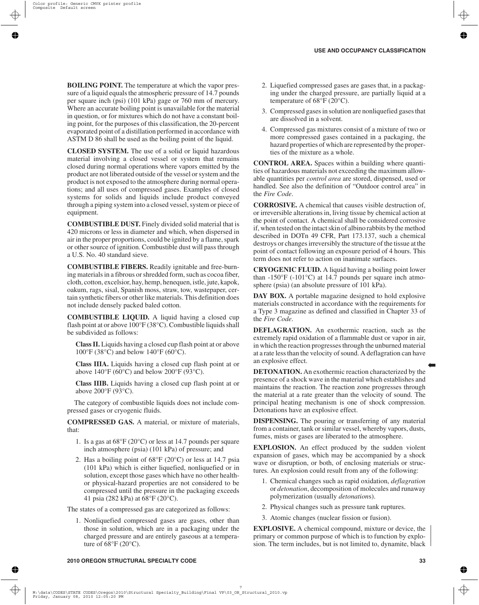**BOILING POINT.** The temperature at which the vapor pressure of a liquid equals the atmospheric pressure of 14.7 pounds per square inch (psi) (101 kPa) gage or 760 mm of mercury. Where an accurate boiling point is unavailable for the material in question, or for mixtures which do not have a constant boiling point, for the purposes of this classification, the 20-percent evaporated point of a distillation performed in accordance with ASTM D 86 shall be used as the boiling point of the liquid.

**CLOSED SYSTEM.** The use of a solid or liquid hazardous material involving a closed vessel or system that remains closed during normal operations where vapors emitted by the product are not liberated outside of the vessel or system and the product is not exposed to the atmosphere during normal operations; and all uses of compressed gases. Examples of closed systems for solids and liquids include product conveyed through a piping system into a closed vessel, system or piece of equipment.

**COMBUSTIBLE DUST.** Finely divided solid material that is 420 microns or less in diameter and which, when dispersed in air in the proper proportions, could be ignited by a flame, spark or other source of ignition. Combustible dust will pass through a U.S. No. 40 standard sieve.

**COMBUSTIBLE FIBERS.** Readily ignitable and free-burning materials in a fibrous or shredded form, such as cocoa fiber, cloth, cotton, excelsior, hay, hemp, henequen, istle, jute, kapok, oakum, rags, sisal, Spanish moss, straw, tow, wastepaper, certain synthetic fibers or other like materials. This definition does not include densely packed baled cotton.

**COMBUSTIBLE LIQUID.** A liquid having a closed cup flash point at or above 100°F (38°C). Combustible liquids shall be subdivided as follows:

**Class II.** Liquids having a closed cup flash point at or above 100°F (38°C) and below 140°F (60°C).

**Class IIIA.** Liquids having a closed cup flash point at or above  $140^{\circ}F (60^{\circ}C)$  and below  $200^{\circ}F (93^{\circ}C)$ .

**Class IIIB.** Liquids having a closed cup flash point at or above 200°F (93°C).

The category of combustible liquids does not include compressed gases or cryogenic fluids.

**COMPRESSED GAS.** A material, or mixture of materials, that:

- 1. Is a gas at 68°F (20°C) or less at 14.7 pounds per square inch atmosphere (psia) (101 kPa) of pressure; and
- 2. Has a boiling point of  $68^{\circ}F(20^{\circ}C)$  or less at 14.7 psia (101 kPa) which is either liquefied, nonliquefied or in solution, except those gases which have no other healthor physical-hazard properties are not considered to be compressed until the pressure in the packaging exceeds 41 psia (282 kPa) at 68°F (20°C).

The states of a compressed gas are categorized as follows:

1. Nonliquefied compressed gases are gases, other than those in solution, which are in a packaging under the charged pressure and are entirely gaseous at a temperature of  $68^{\circ}F(20^{\circ}C)$ .

- 2. Liquefied compressed gases are gases that, in a packaging under the charged pressure, are partially liquid at a temperature of 68°F (20°C).
- 3. Compressed gases in solution are nonliquefied gases that are dissolved in a solvent.
- 4. Compressed gas mixtures consist of a mixture of two or more compressed gases contained in a packaging, the hazard properties of which are represented by the properties of the mixture as a whole.

**CONTROL AREA.** Spaces within a building where quantities of hazardous materials not exceeding the maximum allowable quantities per *control area* are stored, dispensed, used or handled. See also the definition of "Outdoor control area" in the *Fire Code*.

**CORROSIVE.** A chemical that causes visible destruction of, or irreversible alterations in, living tissue by chemical action at the point of contact. A chemical shall be considered corrosive if, when tested on the intact skin of albino rabbits by the method described in DOTn 49 CFR, Part 173.137, such a chemical destroys or changes irreversibly the structure of the tissue at the point of contact following an exposure period of 4 hours. This term does not refer to action on inanimate surfaces.

**CRYOGENIC FLUID.** A liquid having a boiling point lower than  $-150^{\circ}$ F ( $-101^{\circ}$ C) at 14.7 pounds per square inch atmosphere (psia) (an absolute pressure of 101 kPa).

**DAY BOX.** A portable magazine designed to hold explosive materials constructed in accordance with the requirements for a Type 3 magazine as defined and classified in Chapter 33 of the *Fire Code*.

**DEFLAGRATION.** An exothermic reaction, such as the extremely rapid oxidation of a flammable dust or vapor in air, in which the reaction progresses through the unburned material at a rate less than the velocity of sound. A deflagration can have an explosive effect.

**DETONATION.** An exothermic reaction characterized by the presence of a shock wave in the material which establishes and maintains the reaction. The reaction zone progresses through the material at a rate greater than the velocity of sound. The principal heating mechanism is one of shock compression. Detonations have an explosive effect.

**DISPENSING.** The pouring or transferring of any material from a container, tank or similar vessel, whereby vapors, dusts, fumes, mists or gases are liberated to the atmosphere.

**EXPLOSION.** An effect produced by the sudden violent expansion of gases, which may be accompanied by a shock wave or disruption, or both, of enclosing materials or structures. An explosion could result from any of the following:

- 1. Chemical changes such as rapid oxidation, *deflagration* or *detonation*, decomposition of molecules and runaway polymerization (usually *detonation*s).
- 2. Physical changes such as pressure tank ruptures.
- 3. Atomic changes (nuclear fission or fusion).

**EXPLOSIVE.** A chemical compound, mixture or device, the primary or common purpose of which is to function by explosion. The term includes, but is not limited to, dynamite, black

➡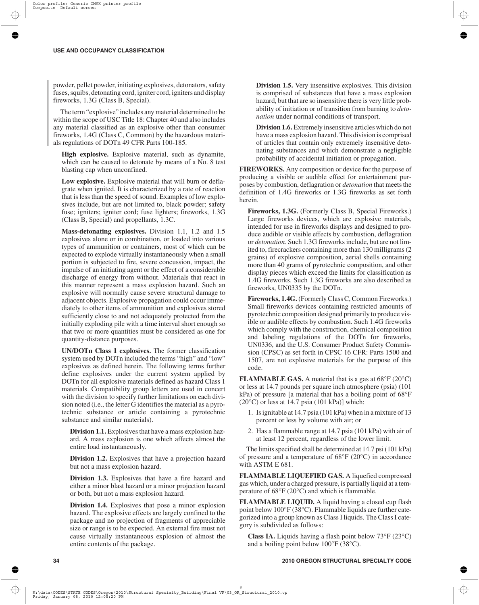powder, pellet powder, initiating explosives, detonators, safety fuses, squibs, detonating cord, igniter cord, igniters and display fireworks, 1.3G (Class B, Special).

The term "explosive" includes any material determined to be within the scope of USC Title 18: Chapter 40 and also includes any material classified as an explosive other than consumer fireworks, 1.4G (Class C, Common) by the hazardous materials regulations of DOTn 49 CFR Parts 100-185.

**High explosive.** Explosive material, such as dynamite, which can be caused to detonate by means of a No. 8 test blasting cap when unconfined.

**Low explosive.** Explosive material that will burn or deflagrate when ignited. It is characterized by a rate of reaction that is less than the speed of sound. Examples of low explosives include, but are not limited to, black powder; safety fuse; igniters; igniter cord; fuse lighters; fireworks, 1.3G (Class B, Special) and propellants, 1.3C.

**Mass-detonating explosives.** Division 1.1, 1.2 and 1.5 explosives alone or in combination, or loaded into various types of ammunition or containers, most of which can be expected to explode virtually instantaneously when a small portion is subjected to fire, severe concussion, impact, the impulse of an initiating agent or the effect of a considerable discharge of energy from without. Materials that react in this manner represent a mass explosion hazard. Such an explosive will normally cause severe structural damage to adjacent objects. Explosive propagation could occur immediately to other items of ammunition and explosives stored sufficiently close to and not adequately protected from the initially exploding pile with a time interval short enough so that two or more quantities must be considered as one for quantity-distance purposes.

**UN/DOTn Class 1 explosives.** The former classification system used by DOTn included the terms "high" and "low" explosives as defined herein. The following terms further define explosives under the current system applied by DOTn for all explosive materials defined as hazard Class 1 materials. Compatibility group letters are used in concert with the division to specify further limitations on each division noted (i.e., the letter G identifies the material as a pyrotechnic substance or article containing a pyrotechnic substance and similar materials).

**Division 1.1.** Explosives that have a mass explosion hazard. A mass explosion is one which affects almost the entire load instantaneously.

**Division 1.2.** Explosives that have a projection hazard but not a mass explosion hazard.

**Division 1.3.** Explosives that have a fire hazard and either a minor blast hazard or a minor projection hazard or both, but not a mass explosion hazard.

**Division 1.4.** Explosives that pose a minor explosion hazard. The explosive effects are largely confined to the package and no projection of fragments of appreciable size or range is to be expected. An external fire must not cause virtually instantaneous explosion of almost the entire contents of the package.

**Division 1.5.** Very insensitive explosives. This division is comprised of substances that have a mass explosion hazard, but that are so insensitive there is very little probability of initiation or of transition from burning to *detonation* under normal conditions of transport.

**Division 1.6.** Extremely insensitive articles which do not have a mass explosion hazard. This division is comprised of articles that contain only extremely insensitive detonating substances and which demonstrate a negligible probability of accidental initiation or propagation.

**FIREWORKS.** Any composition or device for the purpose of producing a visible or audible effect for entertainment purposes by combustion, deflagration or *detonation* that meets the definition of 1.4G fireworks or 1.3G fireworks as set forth herein.

**Fireworks, 1.3G.** (Formerly Class B, Special Fireworks.) Large fireworks devices, which are explosive materials, intended for use in fireworks displays and designed to produce audible or visible effects by combustion, deflagration or *detonation*. Such 1.3G fireworks include, but are not limited to, firecrackers containing more than 130 milligrams (2 grains) of explosive composition, aerial shells containing more than 40 grams of pyrotechnic composition, and other display pieces which exceed the limits for classification as 1.4G fireworks. Such 1.3G fireworks are also described as fireworks, UN0335 by the DOTn.

**Fireworks, 1.4G.** (Formerly Class C, Common Fireworks.) Small fireworks devices containing restricted amounts of pyrotechnic composition designed primarily to produce visible or audible effects by combustion. Such 1.4G fireworks which comply with the construction, chemical composition and labeling regulations of the DOTn for fireworks, UN0336, and the U.S. Consumer Product Safety Commission (CPSC) as set forth in CPSC 16 CFR: Parts 1500 and 1507, are not explosive materials for the purpose of this code.

**FLAMMABLE GAS.** A material that is a gas at  $68^{\circ}F(20^{\circ}C)$ or less at 14.7 pounds per square inch atmosphere (psia) (101 kPa) of pressure [a material that has a boiling point of 68°F  $(20^{\circ}$ C) or less at 14.7 psia  $(101$  kPa)] which:

- 1. Is ignitable at 14.7 psia (101 kPa) when in a mixture of 13 percent or less by volume with air; or
- 2. Has a flammable range at 14.7 psia (101 kPa) with air of at least 12 percent, regardless of the lower limit.

The limits specified shall be determined at 14.7 psi (101 kPa) of pressure and a temperature of 68°F (20°C) in accordance with ASTM E 681.

**FLAMMABLE LIQUEFIED GAS.** A liquefied compressed gas which, under a charged pressure, is partially liquid at a temperature of 68°F (20°C) and which is flammable.

**FLAMMABLE LIQUID.** A liquid having a closed cup flash point below 100°F (38°C). Flammable liquids are further categorized into a group known as Class I liquids. The Class I category is subdivided as follows:

**Class IA.** Liquids having a flash point below 73°F (23°C) and a boiling point below 100°F (38°C).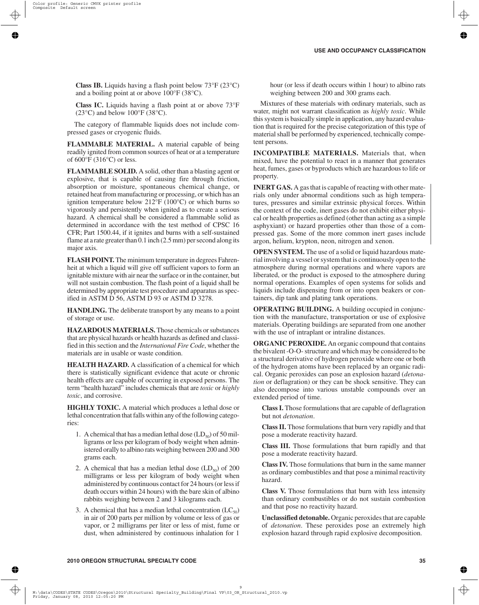**Class IB.** Liquids having a flash point below 73°F (23°C) and a boiling point at or above 100°F (38°C).

**Class IC.** Liquids having a flash point at or above 73°F  $(23^{\circ}C)$  and below  $100^{\circ}F(38^{\circ}C)$ .

The category of flammable liquids does not include compressed gases or cryogenic fluids.

**FLAMMABLE MATERIAL.** A material capable of being readily ignited from common sources of heat or at a temperature of 600°F (316°C) or less.

**FLAMMABLE SOLID.** A solid, other than a blasting agent or explosive, that is capable of causing fire through friction, absorption or moisture, spontaneous chemical change, or retained heat from manufacturing or processing, or which has an ignition temperature below 212°F (100°C) or which burns so vigorously and persistently when ignited as to create a serious hazard. A chemical shall be considered a flammable solid as determined in accordance with the test method of CPSC 16 CFR; Part 1500.44, if it ignites and burns with a self-sustained flame at a rate greater than 0.1 inch (2.5 mm) per second along its major axis.

**FLASH POINT.** The minimum temperature in degrees Fahrenheit at which a liquid will give off sufficient vapors to form an ignitable mixture with air near the surface or in the container, but will not sustain combustion. The flash point of a liquid shall be determined by appropriate test procedure and apparatus as specified in ASTM D 56, ASTM D 93 or ASTM D 3278.

**HANDLING.** The deliberate transport by any means to a point of storage or use.

**HAZARDOUS MATERIALS.** Those chemicals or substances that are physical hazards or health hazards as defined and classified in this section and the *International Fire Code*, whether the materials are in usable or waste condition.

**HEALTH HAZARD.** A classification of a chemical for which there is statistically significant evidence that acute or chronic health effects are capable of occurring in exposed persons. The term "health hazard" includes chemicals that are *toxic* or *highly toxic*, and corrosive.

**HIGHLY TOXIC.** A material which produces a lethal dose or lethal concentration that falls within any of the following categories:

- 1. A chemical that has a median lethal dose  $(LD_{50})$  of 50 milligrams or less per kilogram of body weight when administered orally to albino rats weighing between 200 and 300 grams each.
- 2. A chemical that has a median lethal dose  $(LD_{50})$  of 200 milligrams or less per kilogram of body weight when administered by continuous contact for 24 hours (or less if death occurs within 24 hours) with the bare skin of albino rabbits weighing between 2 and 3 kilograms each.
- 3. A chemical that has a median lethal concentration  $(LC_{50})$ in air of 200 parts per million by volume or less of gas or vapor, or 2 milligrams per liter or less of mist, fume or dust, when administered by continuous inhalation for 1

hour (or less if death occurs within 1 hour) to albino rats weighing between 200 and 300 grams each.

Mixtures of these materials with ordinary materials, such as water, might not warrant classification as *highly toxic*. While this system is basically simple in application, any hazard evaluation that is required for the precise categorization of this type of material shall be performed by experienced, technically competent persons.

**INCOMPATIBLE MATERIALS.** Materials that, when mixed, have the potential to react in a manner that generates heat, fumes, gases or byproducts which are hazardous to life or property.

**INERT GAS.** A gas that is capable of reacting with other materials only under abnormal conditions such as high temperatures, pressures and similar extrinsic physical forces. Within the context of the code, inert gases do not exhibit either physical or health properties as defined (other than acting as a simple asphyxiant) or hazard properties other than those of a compressed gas. Some of the more common inert gases include argon, helium, krypton, neon, nitrogen and xenon.

**OPEN SYSTEM.** The use of a solid or liquid hazardous material involving a vessel or system that is continuously open to the atmosphere during normal operations and where vapors are liberated, or the product is exposed to the atmosphere during normal operations. Examples of open systems for solids and liquids include dispensing from or into open beakers or containers, dip tank and plating tank operations.

**OPERATING BUILDING.** A building occupied in conjunction with the manufacture, transportation or use of explosive materials. Operating buildings are separated from one another with the use of intraplant or intraline distances.

**ORGANIC PEROXIDE.** An organic compound that contains the bivalent -O-O- structure and which may be considered to be a structural derivative of hydrogen peroxide where one or both of the hydrogen atoms have been replaced by an organic radical. Organic peroxides can pose an explosion hazard (*detonation* or deflagration) or they can be shock sensitive. They can also decompose into various unstable compounds over an extended period of time.

**Class I.** Those formulations that are capable of deflagration but not *detonation*.

**Class II.** Those formulations that burn very rapidly and that pose a moderate reactivity hazard.

**Class III.** Those formulations that burn rapidly and that pose a moderate reactivity hazard.

**Class IV.** Those formulations that burn in the same manner as ordinary combustibles and that pose a minimal reactivity hazard.

**Class V.** Those formulations that burn with less intensity than ordinary combustibles or do not sustain combustion and that pose no reactivity hazard.

**Unclassified detonable.** Organic peroxides that are capable of *detonation*. These peroxides pose an extremely high explosion hazard through rapid explosive decomposition.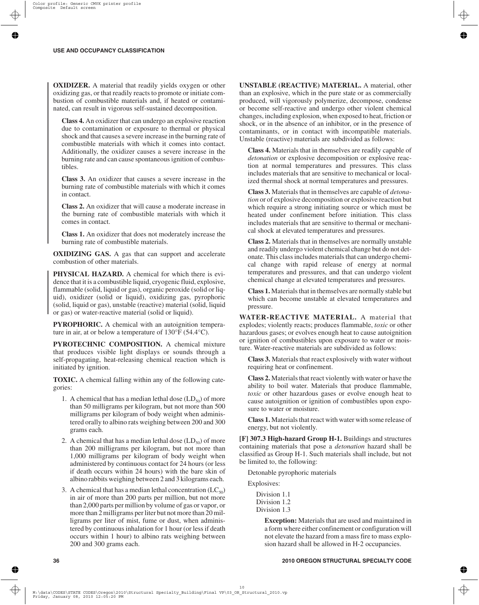**OXIDIZER.** A material that readily yields oxygen or other oxidizing gas, or that readily reacts to promote or initiate combustion of combustible materials and, if heated or contaminated, can result in vigorous self-sustained decomposition.

**Class 4.** An oxidizer that can undergo an explosive reaction due to contamination or exposure to thermal or physical shock and that causes a severe increase in the burning rate of combustible materials with which it comes into contact. Additionally, the oxidizer causes a severe increase in the burning rate and can cause spontaneous ignition of combustibles.

**Class 3.** An oxidizer that causes a severe increase in the burning rate of combustible materials with which it comes in contact.

**Class 2.** An oxidizer that will cause a moderate increase in the burning rate of combustible materials with which it comes in contact.

**Class 1.** An oxidizer that does not moderately increase the burning rate of combustible materials.

**OXIDIZING GAS.** A gas that can support and accelerate combustion of other materials.

**PHYSICAL HAZARD.** A chemical for which there is evidence that it is a combustible liquid, cryogenic fluid, explosive, flammable (solid, liquid or gas), organic peroxide (solid or liquid), oxidizer (solid or liquid), oxidizing gas, pyrophoric (solid, liquid or gas), unstable (reactive) material (solid, liquid or gas) or water-reactive material (solid or liquid).

**PYROPHORIC.** A chemical with an autoignition temperature in air, at or below a temperature of 130°F (54.4°C).

**PYROTECHNIC COMPOSITION.** A chemical mixture that produces visible light displays or sounds through a self-propagating, heat-releasing chemical reaction which is initiated by ignition.

**TOXIC.** A chemical falling within any of the following categories:

- 1. A chemical that has a median lethal dose  $(LD_{50})$  of more than 50 milligrams per kilogram, but not more than 500 milligrams per kilogram of body weight when administered orally to albino rats weighing between 200 and 300 grams each.
- 2. A chemical that has a median lethal dose  $(LD_{50})$  of more than 200 milligrams per kilogram, but not more than 1,000 milligrams per kilogram of body weight when administered by continuous contact for 24 hours (or less if death occurs within 24 hours) with the bare skin of albino rabbits weighing between 2 and 3 kilograms each.
- 3. A chemical that has a median lethal concentration  $(LC_{50})$ in air of more than 200 parts per million, but not more than 2,000 parts per million by volume of gas or vapor, or more than 2 milligrams per liter but not more than 20 milligrams per liter of mist, fume or dust, when administered by continuous inhalation for 1 hour (or less if death occurs within 1 hour) to albino rats weighing between 200 and 300 grams each.

**UNSTABLE (REACTIVE) MATERIAL.** A material, other than an explosive, which in the pure state or as commercially produced, will vigorously polymerize, decompose, condense or become self-reactive and undergo other violent chemical changes, including explosion, when exposed to heat, friction or shock, or in the absence of an inhibitor, or in the presence of contaminants, or in contact with incompatible materials. Unstable (reactive) materials are subdivided as follows:

**Class 4.** Materials that in themselves are readily capable of *detonation* or explosive decomposition or explosive reaction at normal temperatures and pressures. This class includes materials that are sensitive to mechanical or localized thermal shock at normal temperatures and pressures.

**Class 3.** Materials that in themselves are capable of *detonation* or of explosive decomposition or explosive reaction but which require a strong initiating source or which must be heated under confinement before initiation. This class includes materials that are sensitive to thermal or mechanical shock at elevated temperatures and pressures.

**Class 2.** Materials that in themselves are normally unstable and readily undergo violent chemical change but do not detonate. This class includes materials that can undergo chemical change with rapid release of energy at normal temperatures and pressures, and that can undergo violent chemical change at elevated temperatures and pressures.

**Class 1.** Materials that in themselves are normally stable but which can become unstable at elevated temperatures and pressure.

**WATER-REACTIVE MATERIAL.** A material that explodes; violently reacts; produces flammable, *toxic* or other hazardous gases; or evolves enough heat to cause autoignition or ignition of combustibles upon exposure to water or moisture. Water-reactive materials are subdivided as follows:

**Class 3.** Materials that react explosively with water without requiring heat or confinement.

**Class 2.** Materials that react violently with water or have the ability to boil water. Materials that produce flammable, *toxic* or other hazardous gases or evolve enough heat to cause autoignition or ignition of combustibles upon exposure to water or moisture.

**Class 1.** Materials that react with water with some release of energy, but not violently.

**[F] 307.3 High-hazard Group H-1.** Buildings and structures containing materials that pose a *detonation* hazard shall be classified as Group H-1. Such materials shall include, but not be limited to, the following:

Detonable pyrophoric materials

Explosives:

Division 1.1 Division 1.2 Division 1.3

> **Exception:** Materials that are used and maintained in a form where either confinement or configuration will not elevate the hazard from a mass fire to mass explosion hazard shall be allowed in H-2 occupancies.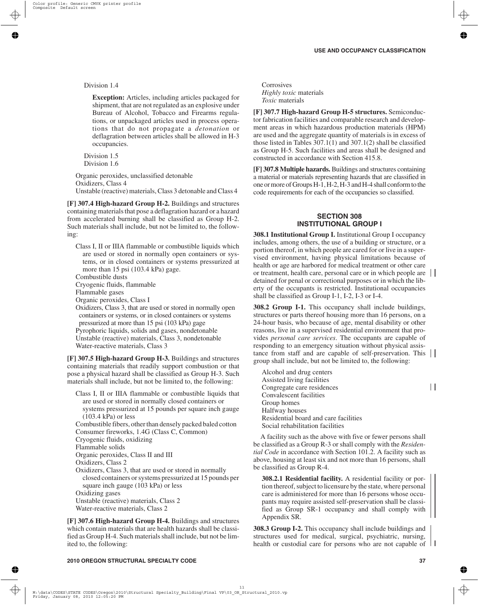Division 1.4

**Exception:** Articles, including articles packaged for shipment, that are not regulated as an explosive under Bureau of Alcohol, Tobacco and Firearms regulations, or unpackaged articles used in process operations that do not propagate a *detonation* or deflagration between articles shall be allowed in H-3 occupancies.

Division 1.5 Division 1.6

Organic peroxides, unclassified detonable Oxidizers, Class 4 Unstable (reactive) materials, Class 3 detonable and Class 4

**[F] 307.4 High-hazard Group H-2.** Buildings and structures containing materials that pose a deflagration hazard or a hazard from accelerated burning shall be classified as Group H-2. Such materials shall include, but not be limited to, the following:

Class I, II or IIIA flammable or combustible liquids which are used or stored in normally open containers or systems, or in closed containers or systems pressurized at more than 15 psi (103.4 kPa) gage.

Combustible dusts

Cryogenic fluids, flammable

Flammable gases

Organic peroxides, Class I

Oxidizers, Class 3, that are used or stored in normally open containers or systems, or in closed containers or systems pressurized at more than 15 psi (103 kPa) gage Pyrophoric liquids, solids and gases, nondetonable Unstable (reactive) materials, Class 3, nondetonable

Water-reactive materials, Class 3

**[F] 307.5 High-hazard Group H-3.** Buildings and structures containing materials that readily support combustion or that pose a physical hazard shall be classified as Group H-3. Such materials shall include, but not be limited to, the following:

Class I, II or IIIA flammable or combustible liquids that are used or stored in normally closed containers or systems pressurized at 15 pounds per square inch gauge (103.4 kPa) or less

Combustible fibers, other than densely packed baled cotton Consumer fireworks, 1.4G (Class C, Common) Cryogenic fluids, oxidizing Flammable solids Organic peroxides, Class II and III Oxidizers, Class 2 Oxidizers, Class 3, that are used or stored in normally

closed containers or systems pressurized at 15 pounds per square inch gauge (103 kPa) or less Oxidizing gases

Unstable (reactive) materials, Class 2 Water-reactive materials, Class 2

**[F] 307.6 High-hazard Group H-4.** Buildings and structures which contain materials that are health hazards shall be classified as Group H-4. Such materials shall include, but not be limited to, the following:

**Corrosives** *Highly toxic* materials *Toxic* materials

**[F] 307.7 High-hazard Group H-5 structures.** Semiconductor fabrication facilities and comparable research and development areas in which hazardous production materials (HPM) are used and the aggregate quantity of materials is in excess of those listed in Tables 307.1(1) and 307.1(2) shall be classified as Group H-5. Such facilities and areas shall be designed and constructed in accordance with Section 415.8.

**[F] 307.8 Multiple hazards.** Buildings and structures containing a material or materials representing hazards that are classified in one or more of Groups H-1, H-2, H-3 and H-4 shall conform to the code requirements for each of the occupancies so classified.

## **SECTION 308 INSTITUTIONAL GROUP I**

**308.1 Institutional Group I.** Institutional Group I occupancy includes, among others, the use of a building or structure, or a portion thereof, in which people are cared for or live in a supervised environment, having physical limitations because of health or age are harbored for medical treatment or other care or treatment, health care, personal care or in which people are detained for penal or correctional purposes or in which the liberty of the occupants is restricted. Institutional occupancies shall be classified as Group I-1, I-2, I-3 or I-4.

**308.2 Group I-1.** This occupancy shall include buildings, structures or parts thereof housing more than 16 persons, on a 24-hour basis, who because of age, mental disability or other reasons, live in a supervised residential environment that provides *personal care services*. The occupants are capable of responding to an emergency situation without physical assistance from staff and are capable of self-preservation. This group shall include, but not be limited to, the following:

Alcohol and drug centers Assisted living facilities Congregate care residences Convalescent facilities Group homes Halfway houses Residential board and care facilities Social rehabilitation facilities

A facility such as the above with five or fewer persons shall be classified as a Group R-3 or shall comply with the *Residential Code* in accordance with Section 101.2. A facility such as above, housing at least six and not more than 16 persons, shall be classified as Group R-4.

**308.2.1 Residential facility.** A residential facility or portion thereof, subject to licensure by the state, where personal care is administered for more than 16 persons whose occupants may require assisted self-preservation shall be classified as Group SR-1 occupancy and shall comply with Appendix SR.

**308.3 Group I-2.** This occupancy shall include buildings and structures used for medical, surgical, psychiatric, nursing, health or custodial care for persons who are not capable of  $\Box$ 

 $\mathbf{H}$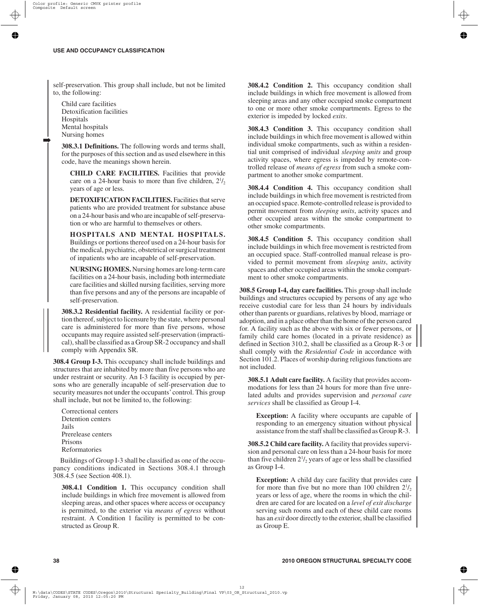self-preservation. This group shall include, but not be limited to, the following:

Child care facilities Detoxification facilities Hospitals Mental hospitals Nursing homes

➡

**308.3.1 Definitions.** The following words and terms shall, for the purposes of this section and as used elsewhere in this code, have the meanings shown herein.

**CHILD CARE FACILITIES.** Facilities that provide care on a 24-hour basis to more than five children,  $2\frac{1}{2}$ years of age or less.

**DETOXIFICATION FACILITIES.** Facilities that serve patients who are provided treatment for substance abuse on a 24-hour basis and who are incapable of self-preservation or who are harmful to themselves or others.

**HOSPITALS AND MENTAL HOSPITALS.** Buildings or portions thereof used on a 24-hour basis for the medical, psychiatric, obstetrical or surgical treatment of inpatients who are incapable of self-preservation.

**NURSING HOMES.** Nursing homes are long-term care facilities on a 24-hour basis, including both intermediate care facilities and skilled nursing facilities, serving more than five persons and any of the persons are incapable of self-preservation.

**308.3.2 Residential facility.** A residential facility or portion thereof, subject to licensure by the state, where personal care is administered for more than five persons, whose occupants may require assisted self-preservation (impractical), shall be classified as a Group SR-2 occupancy and shall comply with Appendix SR.

**308.4 Group I-3.** This occupancy shall include buildings and structures that are inhabited by more than five persons who are under restraint or security. An I-3 facility is occupied by persons who are generally incapable of self-preservation due to security measures not under the occupants'control. This group shall include, but not be limited to, the following:

Correctional centers Detention centers Jails Prerelease centers Prisons Reformatories

Buildings of Group I-3 shall be classified as one of the occupancy conditions indicated in Sections 308.4.1 through 308.4.5 (see Section 408.1).

**308.4.1 Condition 1.** This occupancy condition shall include buildings in which free movement is allowed from sleeping areas, and other spaces where access or occupancy is permitted, to the exterior via *means of egress* without restraint. A Condition 1 facility is permitted to be constructed as Group R.

**308.4.2 Condition 2.** This occupancy condition shall include buildings in which free movement is allowed from sleeping areas and any other occupied smoke compartment to one or more other smoke compartments. Egress to the exterior is impeded by locked *exits*.

**308.4.3 Condition 3.** This occupancy condition shall include buildings in which free movement is allowed within individual smoke compartments, such as within a residential unit comprised of individual *sleeping units* and group activity spaces, where egress is impeded by remote-controlled release of *means of egress* from such a smoke compartment to another smoke compartment.

**308.4.4 Condition 4.** This occupancy condition shall include buildings in which free movement is restricted from an occupied space. Remote-controlled release is provided to permit movement from *sleeping units*, activity spaces and other occupied areas within the smoke compartment to other smoke compartments.

**308.4.5 Condition 5.** This occupancy condition shall include buildings in which free movement is restricted from an occupied space. Staff-controlled manual release is provided to permit movement from *sleeping units*, activity spaces and other occupied areas within the smoke compartment to other smoke compartments.

**308.5 Group I-4, day care facilities.** This group shall include buildings and structures occupied by persons of any age who receive custodial care for less than 24 hours by individuals other than parents or guardians, relatives by blood, marriage or adoption, and in a place other than the home of the person cared for. A facility such as the above with six or fewer persons, or family child care homes (located in a private residence) as defined in Section 310.2, shall be classified as a Group R-3 or shall comply with the *Residential Code* in accordance with Section 101.2. Places of worship during religious functions are not included.

**308.5.1 Adult care facility.** A facility that provides accommodations for less than 24 hours for more than five unrelated adults and provides supervision and *personal care services* shall be classified as Group I-4.

**Exception:** A facility where occupants are capable of responding to an emergency situation without physical assistance from the staff shall be classified as Group R-3.

**308.5.2 Child care facility.** A facility that provides supervision and personal care on less than a 24-hour basis for more than five children  $2^{1/2}$  years of age or less shall be classified as Group I-4.

**Exception:** A child day care facility that provides care for more than five but no more than 100 children  $2^{1/2}$ , years or less of age, where the rooms in which the children are cared for are located on a *level of exit discharge* serving such rooms and each of these child care rooms has an *exit* door directly to the exterior, shall be classified as Group E.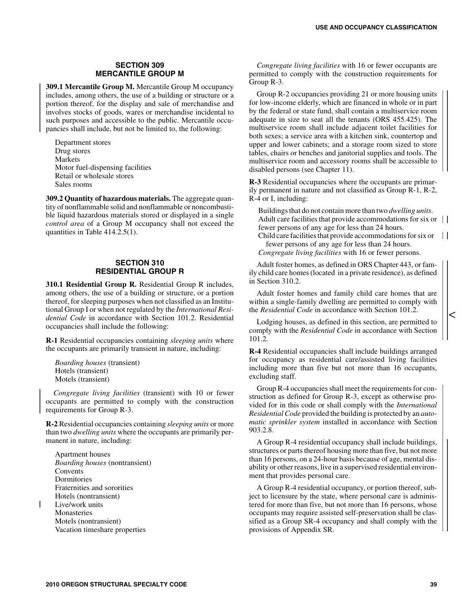## **SECTION 309 MERCANTILE GROUP M**

**309.1 Mercantile Group M.** Mercantile Group M occupancy includes, among others, the use of a building or structure or a portion thereof, for the display and sale of merchandise and involves stocks of goods, wares or merchandise incidental to such purposes and accessible to the public. Mercantile occupancies shall include, but not be limited to, the following:

Department stores Drug stores Markets Motor fuel-dispensing facilities Retail or wholesale stores Sales rooms

**309.2 Quantity of hazardous materials.** The aggregate quantity of nonflammable solid and nonflammable or noncombustible liquid hazardous materials stored or displayed in a single *control area* of a Group M occupancy shall not exceed the quantities in Table 414.2.5(1).

## **SECTION 310 RESIDENTIAL GROUP R**

**310.1 Residential Group R.** Residential Group R includes, among others, the use of a building or structure, or a portion thereof, for sleeping purposes when not classified as an Institutional Group I or when not regulated by the *International Residential Code* in accordance with Section 101.2. Residential occupancies shall include the following:

**R-1** Residential occupancies containing *sleeping units* where the occupants are primarily transient in nature, including:

*Boarding houses* (transient) Hotels (transient) Motels (transient)

*Congregate living facilities* (transient) with 10 or fewer occupants are permitted to comply with the construction requirements for Group R-3.

**R-2** Residential occupancies containing *sleeping units* or more than two *dwelling units* where the occupants are primarily permanent in nature, including:

Apartment houses *Boarding houses* (nontransient) Convents Dormitories Fraternities and sororities Hotels (nontransient) Live/work units Monasteries Motels (nontransient) Vacation timeshare properties

*Congregate living facilities* with 16 or fewer occupants are permitted to comply with the construction requirements for Group R-3.

Group R-2 occupancies providing 21 or more housing units for low-income elderly, which are financed in whole or in part by the federal or state fund, shall contain a multiservice room adequate in size to seat all the tenants (ORS 455.425). The multiservice room shall include adjacent toilet facilities for both sexes; a service area with a kitchen sink, countertop and upper and lower cabinets; and a storage room sized to store tables, chairs or benches and janitorial supplies and tools. The multiservice room and accessory rooms shall be accessible to disabled persons (see Chapter 11).

**R-3** Residential occupancies where the occupants are primarily permanent in nature and not classified as Group R-1, R-2, R-4 or I, including:

Buildings that do not contain more than two *dwelling units*. Adult care facilities that provide accommodations for six or  $\vert \vert$ fewer persons of any age for less than 24 hours.

Child care facilities that provide accommodations for six or  $\|$ fewer persons of any age for less than 24 hours.

*Congregate living facilities* with 16 or fewer persons.

Adult foster homes, as defined in ORS Chapter 443, or family child care homes (located in a private residence), as defined in Section 310.2.

Adult foster homes and family child care homes that are within a single-family dwelling are permitted to comply with the *Residential Code* in accordance with Section 101.2.

Lodging houses, as defined in this section, are permitted to comply with the *Residential Code* in accordance with Section 101.2.

**R-4** Residential occupancies shall include buildings arranged for occupancy as residential care/assisted living facilities including more than five but not more than 16 occupants, excluding staff.

Group R-4 occupancies shall meet the requirements for construction as defined for Group R-3, except as otherwise provided for in this code or shall comply with the *International Residential Code* provided the building is protected by an *automatic sprinkler system* installed in accordance with Section 903.2.8.

A Group R-4 residential occupancy shall include buildings, structures or parts thereof housing more than five, but not more than 16 persons, on a 24-hour basis because of age, mental disability or other reasons, live in a supervised residential environment that provides personal care.

A Group R-4 residential occupancy, or portion thereof, subject to licensure by the state, where personal care is administered for more than five, but not more than 16 persons, whose occupants may require assisted self-preservation shall be classified as a Group SR-4 occupancy and shall comply with the provisions of Appendix SR.

 $\,<$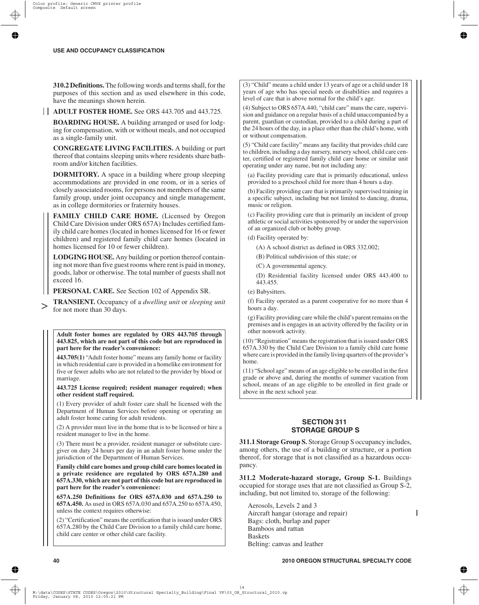**310.2 Definitions.**The following words and terms shall, for the purposes of this section and as used elsewhere in this code, have the meanings shown herein.

**ADULT FOSTER HOME.** See ORS 443.705 and 443.725.

**BOARDING HOUSE.** A building arranged or used for lodging for compensation, with or without meals, and not occupied as a single-family unit.

**CONGREGATE LIVING FACILITIES.** A building or part thereof that contains sleeping units where residents share bathroom and/or kitchen facilities.

**DORMITORY.** A space in a building where group sleeping accommodations are provided in one room, or in a series of closely associated rooms, for persons not members of the same family group, under joint occupancy and single management, as in college dormitories or fraternity houses.

**FAMILY CHILD CARE HOME.** (Licensed by Oregon Child Care Division under ORS 657A) Includes certified family child care homes (located in homes licensed for 16 or fewer children) and registered family child care homes (located in homes licensed for 10 or fewer children).

**LODGING HOUSE.** Any building or portion thereof containing not more than five guest rooms where rent is paid in money, goods, labor or otherwise. The total number of guests shall not exceed 16.

**PERSONAL CARE.** See Section 102 of Appendix SR.

**TRANSIENT.** Occupancy of a *dwelling unit* or *sleeping unit* for not more than 30 days. >

**Adult foster homes are regulated by ORS 443.705 through 443.825, which are not part of this code but are reproduced in part here for the reader's convenience:**

**443.705(1)** "Adult foster home" means any family home or facility in which residential care is provided in a homelike environment for five or fewer adults who are not related to the provider by blood or marriage.

#### **443.725 License required; resident manager required; when other resident staff required.**

(1) Every provider of adult foster care shall be licensed with the Department of Human Services before opening or operating an adult foster home caring for adult residents.

(2) A provider must live in the home that is to be licensed or hire a resident manager to live in the home.

(3) There must be a provider, resident manager or substitute caregiver on duty 24 hours per day in an adult foster home under the jurisdiction of the Department of Human Services.

**Family child care homes and group child care homes located in a private residence are regulated by ORS 657A.280 and 657A.330, which are not part of this code but are reproduced in part here for the reader's convenience:**

**657A.250 Definitions for ORS 657A.030 and 657A.250 to 657A.450.** As used in ORS 657A.030 and 657A.250 to 657A.450, unless the context requires otherwise:

(2) "Certification" means the certification that is issued under ORS 657A.280 by the Child Care Division to a family child care home, child care center or other child care facility.

(3) "Child" means a child under 13 years of age or a child under 18 years of age who has special needs or disabilities and requires a level of care that is above normal for the child's age.

(4) Subject to ORS 657A.440, "child care" mans the care, supervision and guidance on a regular basis of a child unaccompanied by a parent, guardian or custodian, provided to a child during a part of the 24 hours of the day, in a place other than the child's home, with or without compensation.

(5) "Child care facility" means any facility that provides child care to children, including a day nursery, nursery school, child care center, certified or registered family child care home or similar unit operating under any name, but not including any:

(a) Facility providing care that is primarily educational, unless provided to a preschool child for more than 4 hours a day.

(b) Facility providing care that is primarily supervised training in a specific subject, including but not limited to dancing, drama, music or religion.

(c) Facility providing care that is primarily an incident of group athletic or social activities sponsored by or under the supervision of an organized club or hobby group.

(d) Facility operated by:

(A) A school district as defined in ORS 332.002;

(B) Political subdivision of this state; or

(C) A governmental agency.

(D) Residential facility licensed under ORS 443.400 to 443.455.

(e) Babysitters.

(f) Facility operated as a parent cooperative for no more than 4 hours a day.

(g) Facility providing care while the child's parent remains on the premises and is engages in an activity offered by the facility or in other nonwork activity.

(10) "Registration" means the registration that is issued under ORS 657A.330 by the Child Care Division to a family child care home where care is provided in the family living quarters of the provider's home.

(11) "School age" means of an age eligible to be enrolled in the first grade or above and, during the months of summer vacation from school, means of an age eligible to be enrolled in first grade or above in the next school year.

## **SECTION 311 STORAGE GROUP S**

**311.1 Storage Group S.** Storage Group S occupancy includes, among others, the use of a building or structure, or a portion thereof, for storage that is not classified as a hazardous occupancy.

**311.2 Moderate-hazard storage, Group S-1.** Buildings occupied for storage uses that are not classified as Group S-2, including, but not limited to, storage of the following:

Aerosols, Levels 2 and 3 Aircraft hangar (storage and repair) Bags: cloth, burlap and paper Bamboos and rattan Baskets Belting: canvas and leather

I